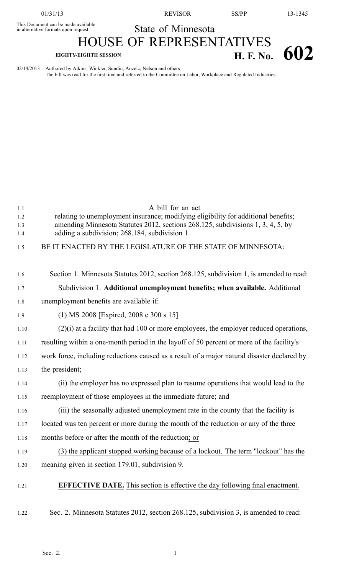01/31/13 REVISOR SS/PP 13-1345

## State of Minnesota

This Document can be made available

## HOUSE OF REPRESENTATIVES **EIGHTY-EIGHTH SESSION H. F. No. 602**

02/14/2013 Authored by Atkins, Winkler, Sundin, Anzelc, Nelson and others The bill was read for the first time and referred to the Committee on Labor, Workplace and Regulated Industries

| 1.1<br>1.2<br>1.3<br>1.4<br>1.5 | A bill for an act<br>relating to unemployment insurance; modifying eligibility for additional benefits;<br>amending Minnesota Statutes 2012, sections 268.125, subdivisions 1, 3, 4, 5, by<br>adding a subdivision; 268.184, subdivision 1.<br>BE IT ENACTED BY THE LEGISLATURE OF THE STATE OF MINNESOTA: |
|---------------------------------|------------------------------------------------------------------------------------------------------------------------------------------------------------------------------------------------------------------------------------------------------------------------------------------------------------|
| 1.6                             | Section 1. Minnesota Statutes 2012, section 268.125, subdivision 1, is amended to read:                                                                                                                                                                                                                    |
| 1.7                             | Subdivision 1. Additional unemployment benefits; when available. Additional                                                                                                                                                                                                                                |
| 1.8                             | unemployment benefits are available if:                                                                                                                                                                                                                                                                    |
| 1.9                             | (1) MS 2008 [Expired, 2008 c 300 s 15]                                                                                                                                                                                                                                                                     |
| 1.10                            | $(2)(i)$ at a facility that had 100 or more employees, the employer reduced operations,                                                                                                                                                                                                                    |
| 1.11                            | resulting within a one-month period in the layoff of 50 percent or more of the facility's                                                                                                                                                                                                                  |
| 1.12                            | work force, including reductions caused as a result of a major natural disaster declared by                                                                                                                                                                                                                |
| 1.13                            | the president;                                                                                                                                                                                                                                                                                             |
| 1.14                            | (ii) the employer has no expressed plan to resume operations that would lead to the                                                                                                                                                                                                                        |
| 1.15                            | reemployment of those employees in the immediate future; and                                                                                                                                                                                                                                               |
| 1.16                            | (iii) the seasonally adjusted unemployment rate in the county that the facility is                                                                                                                                                                                                                         |
| 1.17                            | located was ten percent or more during the month of the reduction or any of the three                                                                                                                                                                                                                      |
| 1.18                            | months before or after the month of the reduction; or                                                                                                                                                                                                                                                      |
| 1.19                            | (3) the applicant stopped working because of a lockout. The term "lockout" has the                                                                                                                                                                                                                         |
| 1.20                            | meaning given in section 179.01, subdivision 9.                                                                                                                                                                                                                                                            |
| 1.21                            | <b>EFFECTIVE DATE.</b> This section is effective the day following final enactment.                                                                                                                                                                                                                        |
| 1.22                            | Sec. 2. Minnesota Statutes 2012, section 268.125, subdivision 3, is amended to read:                                                                                                                                                                                                                       |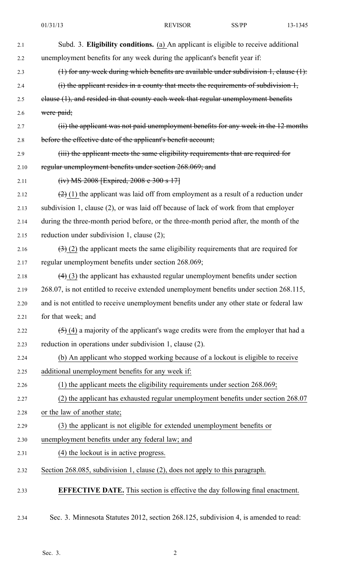| 2.1  | Subd. 3. Eligibility conditions. (a) An applicant is eligible to receive additional        |
|------|--------------------------------------------------------------------------------------------|
| 2.2  | unemployment benefits for any week during the applicant's benefit year if:                 |
| 2.3  | $(1)$ for any week during which benefits are available under subdivision 1, clause $(1)$ : |
| 2.4  | $(i)$ the applicant resides in a county that meets the requirements of subdivision $l$ ,   |
| 2.5  | elause (1), and resided in that county each week that regular unemployment benefits        |
| 2.6  | were paid;                                                                                 |
| 2.7  | (ii) the applicant was not paid unemployment benefits for any week in the 12 months        |
| 2.8  | before the effective date of the applicant's benefit account;                              |
| 2.9  | (iii) the applicant meets the same eligibility requirements that are required for          |
| 2.10 | regular unemployment benefits under section 268.069; and                                   |
| 2.11 | (iv) MS 2008 [Expired, 2008 e 300 s 17]                                                    |
| 2.12 | $(2)$ (1) the applicant was laid off from employment as a result of a reduction under      |
| 2.13 | subdivision 1, clause (2), or was laid off because of lack of work from that employer      |
| 2.14 | during the three-month period before, or the three-month period after, the month of the    |
| 2.15 | reduction under subdivision 1, clause (2);                                                 |
| 2.16 | $(3)$ (2) the applicant meets the same eligibility requirements that are required for      |
| 2.17 | regular unemployment benefits under section 268.069;                                       |
| 2.18 | $(4)$ (3) the applicant has exhausted regular unemployment benefits under section          |
| 2.19 | 268.07, is not entitled to receive extended unemployment benefits under section 268.115.   |
| 2.20 | and is not entitled to receive unemployment benefits under any other state or federal law  |
| 2.21 | for that week; and                                                                         |
| 2.22 | $(5)$ (4) a majority of the applicant's wage credits were from the employer that had a     |
| 2.23 | reduction in operations under subdivision 1, clause (2).                                   |
| 2.24 | (b) An applicant who stopped working because of a lockout is eligible to receive           |
| 2.25 | additional unemployment benefits for any week if:                                          |
| 2.26 | $(1)$ the applicant meets the eligibility requirements under section 268.069;              |
| 2.27 | (2) the applicant has exhausted regular unemployment benefits under section 268.07         |
| 2.28 | or the law of another state;                                                               |
| 2.29 | (3) the applicant is not eligible for extended unemployment benefits or                    |
| 2.30 | unemployment benefits under any federal law; and                                           |
| 2.31 | (4) the lockout is in active progress.                                                     |
| 2.32 | Section 268.085, subdivision 1, clause (2), does not apply to this paragraph.              |
| 2.33 | <b>EFFECTIVE DATE.</b> This section is effective the day following final enactment.        |
| 2.34 | Sec. 3. Minnesota Statutes 2012, section 268.125, subdivision 4, is amended to read:       |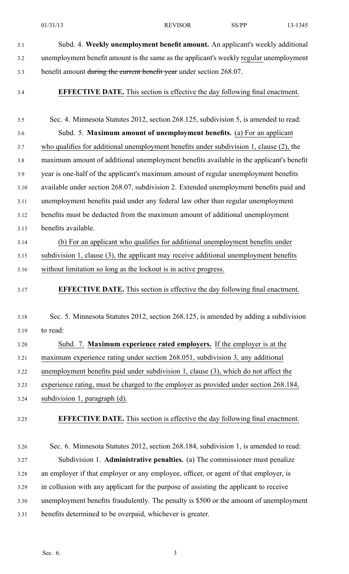- 3.1 Subd. 4. **Weekly unemployment benefit amount.** An applicant's weekly additional 3.2 unemployment benefit amount is the same as the applicant's weekly regular unemployment 3.3 benefit amount during the current benefit year under section 268.07.
- 

3.4 **EFFECTIVE DATE.** This section is effective the day following final enactment.

- 3.5 Sec. 4. Minnesota Statutes 2012, section 268.125, subdivision 5, is amended to read: 3.6 Subd. 5. **Maximum amount of unemployment benefits.** (a) For an applicant 3.7 who qualifies for additional unemployment benefits under subdivision 1, clause (2), the 3.8 maximum amount of additional unemployment benefits available in the applicant's benefit 3.9 year is one-half of the applicant's maximum amount of regular unemployment benefits 3.10 available under section 268.07, subdivision 2. Extended unemployment benefits paid and 3.11 unemployment benefits paid under any federal law other than regular unemployment 3.12 benefits must be deducted from the maximum amount of additional unemployment 3.13 benefits available. 3.14 (b) For an applicant who qualifies for additional unemployment benefits under 3.15 subdivision 1, clause (3), the applicant may receive additional unemployment benefits 3.16 without limitation so long as the lockout is in active progress. 3.17 **EFFECTIVE DATE.** This section is effective the day following final enactment. 3.18 Sec. 5. Minnesota Statutes 2012, section 268.125, is amended by adding <sup>a</sup> subdivision 3.19 to read: 3.20 Subd. 7. **Maximum experience rated employers.** If the employer is at the 3.21 maximum experience rating under section 268.051, subdivision 3, any additional 3.22 unemployment benefits paid under subdivision 1, clause (3), which do not affect the 3.23 experience rating, must be charged to the employer as provided under section 268.184, 3.24 subdivision 1, paragraph (d). 3.25 **EFFECTIVE DATE.** This section is effective the day following final enactment. 3.26 Sec. 6. Minnesota Statutes 2012, section 268.184, subdivision 1, is amended to read: 3.27 Subdivision 1. **Administrative penalties.** (a) The commissioner must penalize 3.28 an employer if that employer or any employee, officer, or agen<sup>t</sup> of that employer, is 3.29 in collusion with any applicant for the purpose of assisting the applicant to receive 3.30 unemployment benefits fraudulently. The penalty is \$500 or the amount of unemployment
- 3.31 benefits determined to be overpaid, whichever is greater.